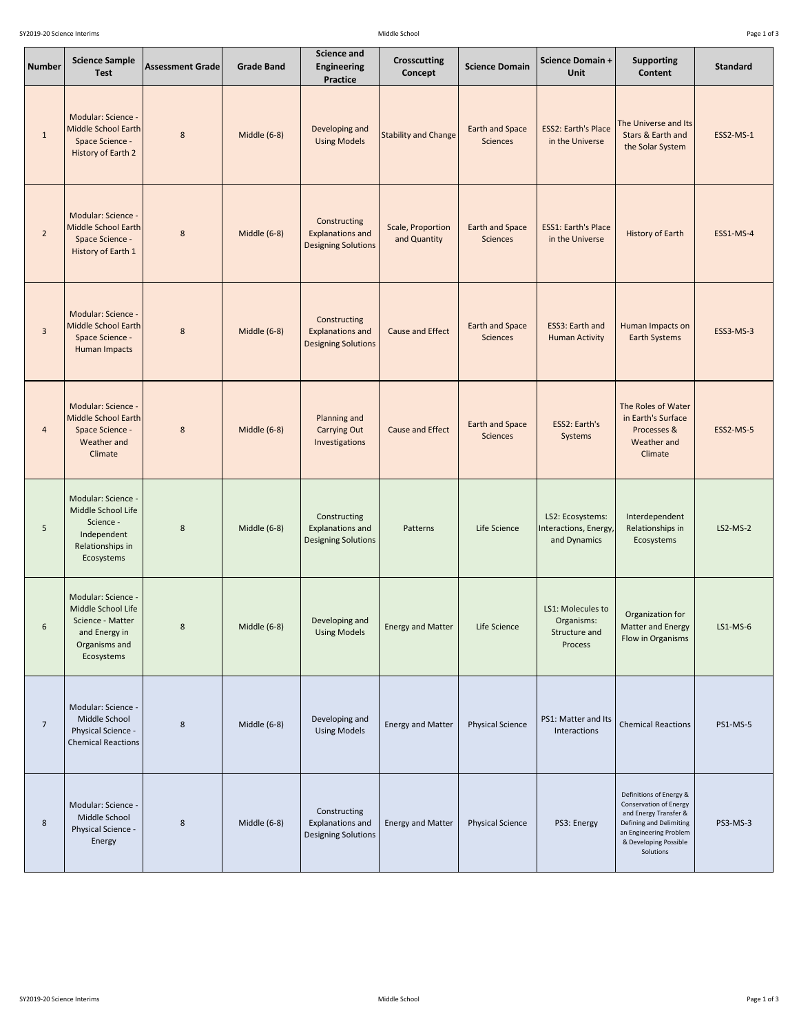| <b>Number</b>    | <b>Science Sample</b><br><b>Test</b>                                                                         | <b>Assessment Grade</b> | <b>Grade Band</b> | <b>Science and</b><br><b>Engineering</b><br><b>Practice</b>           | <b>Crosscutting</b><br>Concept    | <b>Science Domain</b>                     | <b>Science Domain +</b><br>Unit                             | <b>Supporting</b><br><b>Content</b>                                               | <b>Standard</b>  |
|------------------|--------------------------------------------------------------------------------------------------------------|-------------------------|-------------------|-----------------------------------------------------------------------|-----------------------------------|-------------------------------------------|-------------------------------------------------------------|-----------------------------------------------------------------------------------|------------------|
| $\mathbf{1}$     | Modular: Science -<br>Middle School Earth<br>Space Science -<br>History of Earth 2                           | $8\phantom{1}$          | Middle (6-8)      | Developing and<br><b>Using Models</b>                                 | <b>Stability and Change</b>       | <b>Earth and Space</b><br><b>Sciences</b> | <b>ESS2: Earth's Place</b><br>in the Universe               | The Universe and Its<br>Stars & Earth and<br>the Solar System                     | <b>ESS2-MS-1</b> |
| $2^{\circ}$      | Modular: Science -<br>Middle School Earth<br>Space Science -<br><b>History of Earth 1</b>                    | $\bf 8$                 | Middle (6-8)      | Constructing<br><b>Explanations and</b><br><b>Designing Solutions</b> | Scale, Proportion<br>and Quantity | <b>Earth and Space</b><br><b>Sciences</b> | <b>ESS1: Earth's Place</b><br>in the Universe               | History of Earth                                                                  | <b>ESS1-MS-4</b> |
| $\overline{3}$   | Modular: Science -<br>Middle School Earth<br>Space Science -<br><b>Human Impacts</b>                         | $\bf 8$                 | Middle (6-8)      | Constructing<br><b>Explanations and</b><br><b>Designing Solutions</b> | Cause and Effect                  | <b>Earth and Space</b><br><b>Sciences</b> | ESS3: Earth and<br><b>Human Activity</b>                    | Human Impacts on<br><b>Earth Systems</b>                                          | <b>ESS3-MS-3</b> |
| $\overline{4}$   | Modular: Science -<br>Middle School Earth<br>Space Science -<br>Weather and<br>Climate                       | $8\phantom{1}$          | Middle (6-8)      | <b>Planning and</b><br><b>Carrying Out</b><br>Investigations          | <b>Cause and Effect</b>           | <b>Earth and Space</b><br><b>Sciences</b> | ESS2: Earth's<br>Systems                                    | The Roles of Water<br>in Earth's Surface<br>Processes &<br>Weather and<br>Climate | <b>ESS2-MS-5</b> |
| 5                | Modular: Science -<br>Middle School Life<br>Science -<br>Independent<br>Relationships in<br>Ecosystems       | 8                       | Middle (6-8)      | Constructing<br><b>Explanations and</b><br><b>Designing Solutions</b> | Patterns                          | Life Science                              | LS2: Ecosystems:<br>Interactions, Energy,<br>and Dynamics   | Interdependent<br>Relationships in<br>Ecosystems                                  | $LS2-MS-2$       |
| $\boldsymbol{6}$ | Modular: Science -<br>Middle School Life<br>Science - Matter<br>and Energy in<br>Organisms and<br>Ecosystems | $\bf 8$                 | Middle (6-8)      | Developing and<br><b>Using Models</b>                                 | <b>Energy and Matter</b>          | Life Science                              | LS1: Molecules to<br>Organisms:<br>Structure and<br>Process | Organization for<br>Matter and Energy<br>Flow in Organisms                        | $LS1-MS-6$       |
| $\overline{7}$   | Modular: Science -<br>Middle School<br>Physical Science -<br><b>Chemical Reactions</b>                       | 8                       | Middle (6-8)      | Developing and<br><b>Using Models</b>                                 | <b>Energy and Matter</b>          | <b>Physical Science</b>                   | PS1: Matter and Its<br>Interactions                         | <b>Chemical Reactions</b>                                                         | <b>PS1-MS-5</b>  |
|                  | Modular: Science -                                                                                           |                         |                   |                                                                       |                                   |                                           |                                                             | Definitions of Energy &<br>Conservation of Energy                                 |                  |

|  | Middle School<br><b>Physical Science -</b><br>Energy |  | Middle $(6-8)$ | Constructing<br>Explanations and<br>Designing Solutions | <b>Energy and Matter</b> | <b>Physical Science</b> | PS3: Energy | and Energy Transfer &<br>Defining and Delimiting<br>an Engineering Problem<br>& Developing Possible<br>Solutions | <b>PS3-MS-3</b> |
|--|------------------------------------------------------|--|----------------|---------------------------------------------------------|--------------------------|-------------------------|-------------|------------------------------------------------------------------------------------------------------------------|-----------------|
|--|------------------------------------------------------|--|----------------|---------------------------------------------------------|--------------------------|-------------------------|-------------|------------------------------------------------------------------------------------------------------------------|-----------------|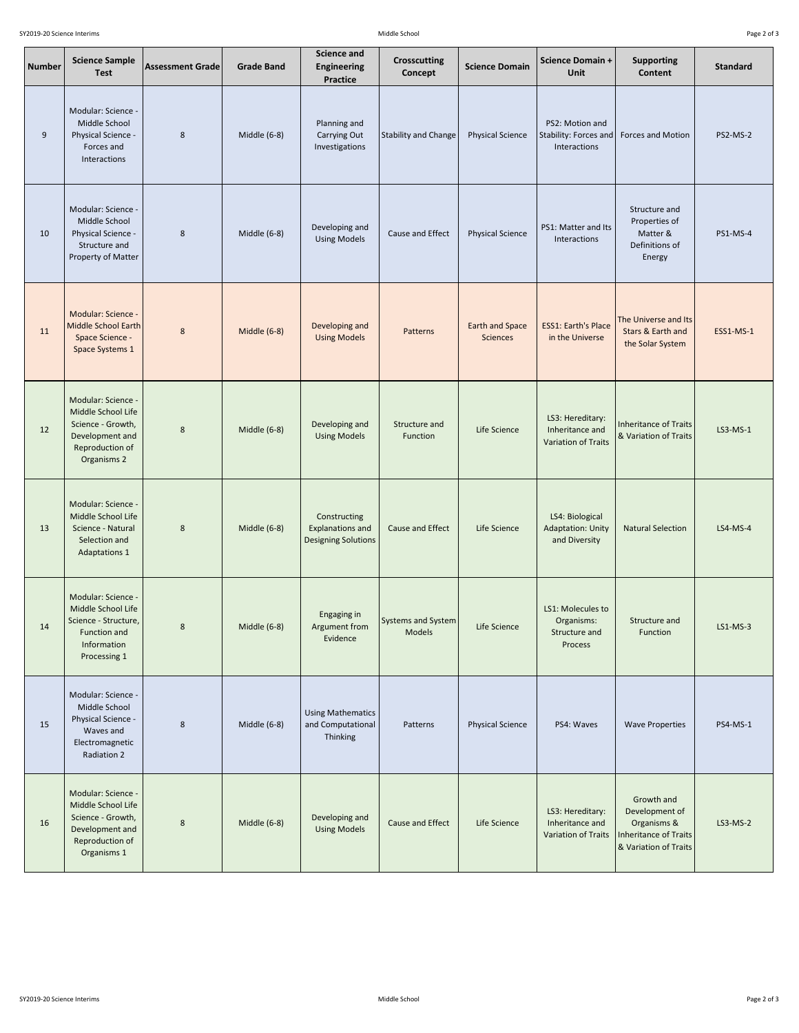| Page 2 of 3 |  |  |  |
|-------------|--|--|--|
|-------------|--|--|--|

| <b>Number</b> | <b>Science Sample</b><br><b>Test</b>                                                                               | <b>Assessment Grade</b> | <b>Grade Band</b> | <b>Science and</b><br><b>Engineering</b><br><b>Practice</b>           | <b>Crosscutting</b><br>Concept      | <b>Science Domain</b>                     | <b>Science Domain +</b><br>Unit                                   | <b>Supporting</b><br><b>Content</b>                                                           | <b>Standard</b>  |
|---------------|--------------------------------------------------------------------------------------------------------------------|-------------------------|-------------------|-----------------------------------------------------------------------|-------------------------------------|-------------------------------------------|-------------------------------------------------------------------|-----------------------------------------------------------------------------------------------|------------------|
| 9             | Modular: Science -<br>Middle School<br>Physical Science -<br>Forces and<br>Interactions                            | 8                       | Middle (6-8)      | Planning and<br>Carrying Out<br>Investigations                        | <b>Stability and Change</b>         | <b>Physical Science</b>                   | PS2: Motion and<br>Stability: Forces and<br>Interactions          | Forces and Motion                                                                             | <b>PS2-MS-2</b>  |
| 10            | Modular: Science -<br>Middle School<br>Physical Science -<br>Structure and<br>Property of Matter                   | 8                       | Middle (6-8)      | Developing and<br><b>Using Models</b>                                 | Cause and Effect                    | <b>Physical Science</b>                   | PS1: Matter and Its<br>Interactions                               | Structure and<br>Properties of<br>Matter &<br>Definitions of<br>Energy                        | <b>PS1-MS-4</b>  |
| 11            | Modular: Science -<br>Middle School Earth<br>Space Science -<br>Space Systems 1                                    | $\bf 8$                 | Middle (6-8)      | Developing and<br><b>Using Models</b>                                 | <b>Patterns</b>                     | <b>Earth and Space</b><br><b>Sciences</b> | <b>ESS1: Earth's Place</b><br>in the Universe                     | The Universe and Its<br>Stars & Earth and<br>the Solar System                                 | <b>ESS1-MS-1</b> |
| 12            | Modular: Science -<br>Middle School Life<br>Science - Growth,<br>Development and<br>Reproduction of<br>Organisms 2 | 8                       | Middle (6-8)      | Developing and<br><b>Using Models</b>                                 | Structure and<br>Function           | Life Science                              | LS3: Hereditary:<br>Inheritance and<br><b>Variation of Traits</b> | Inheritance of Traits<br>& Variation of Traits                                                | $LS3-MS-1$       |
| 13            | Modular: Science -<br>Middle School Life<br>Science - Natural<br>Selection and<br><b>Adaptations 1</b>             | $\,8\,$                 | Middle (6-8)      | Constructing<br><b>Explanations and</b><br><b>Designing Solutions</b> | Cause and Effect                    | Life Science                              | LS4: Biological<br><b>Adaptation: Unity</b><br>and Diversity      | <b>Natural Selection</b>                                                                      | LS4-MS-4         |
| 14            | Modular: Science -<br>Middle School Life<br>Science - Structure,<br>Function and<br>Information<br>Processing 1    | $\bf 8$                 | Middle (6-8)      | Engaging in<br>Argument from<br>Evidence                              | <b>Systems and System</b><br>Models | Life Science                              | LS1: Molecules to<br>Organisms:<br>Structure and<br>Process       | Structure and<br>Function                                                                     | $LS1-MS-3$       |
| 15            | Modular: Science -<br>Middle School<br>Physical Science -<br>Waves and<br>Electromagnetic<br>Radiation 2           | $\,8\,$                 | Middle (6-8)      | <b>Using Mathematics</b><br>and Computational<br>Thinking             | Patterns                            | <b>Physical Science</b>                   | PS4: Waves                                                        | <b>Wave Properties</b>                                                                        | <b>PS4-MS-1</b>  |
| 16            | Modular: Science -<br>Middle School Life<br>Science - Growth,<br>Development and<br>Reproduction of<br>Organisms 1 | $\,8\,$                 | Middle (6-8)      | Developing and<br><b>Using Models</b>                                 | Cause and Effect                    | Life Science                              | LS3: Hereditary:<br>Inheritance and<br><b>Variation of Traits</b> | Growth and<br>Development of<br>Organisms &<br>Inheritance of Traits<br>& Variation of Traits | LS3-MS-2         |